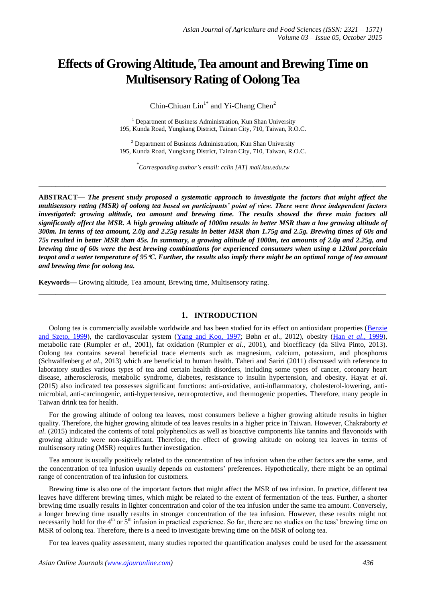# **Effects of Growing Altitude,Tea amount and Brewing Time on Multisensory Rating of Oolong Tea**

Chin-Chiuan  $Lin<sup>1*</sup>$  and Yi-Chang Chen<sup>2</sup>

<sup>1</sup> Department of Business Administration, Kun Shan University 195, Kunda Road, Yungkang District, Tainan City, 710, Taiwan, R.O.C.

<sup>2</sup> Department of Business Administration, Kun Shan University 195, Kunda Road, Yungkang District, Tainan City, 710, Taiwan, R.O.C.

*\* Corresponding author's email: cclin [AT] mail.ksu.edu.tw*

**\_\_\_\_\_\_\_\_\_\_\_\_\_\_\_\_\_\_\_\_\_\_\_\_\_\_\_\_\_\_\_\_\_\_\_\_\_\_\_\_\_\_\_\_\_\_\_\_\_\_\_\_\_\_\_\_\_\_\_\_\_\_\_\_\_\_\_\_\_\_\_\_\_\_\_\_\_\_\_\_\_**

**ABSTRACT—** *The present study proposed a systematic approach to investigate the factors that might affect the multisensory rating (MSR) of oolong tea based on participants' point of view. There were three independent factors investigated: growing altitude, tea amount and brewing time. The results showed the three main factors all significantly affect the MSR. A high growing altitude of 1000m results in better MSR than a low growing altitude of 300m. In terms of tea amount, 2.0g and 2.25g results in better MSR than 1.75g and 2.5g. Brewing times of 60s and 75s resulted in better MSR than 45s. In summary, a growing altitude of 1000m, tea amounts of 2.0g and 2.25g, and brewing time of 60s were the best brewing combinations for experienced consumers when using a 120ml porcelain teapot and a water temperature of 95C. Further, the results also imply there might be an optimal range of tea amount and brewing time for oolong tea.*

**Keywords—** Growing altitude, Tea amount, Brewing time, Multisensory rating.

#### **1. INTRODUCTION**

**\_\_\_\_\_\_\_\_\_\_\_\_\_\_\_\_\_\_\_\_\_\_\_\_\_\_\_\_\_\_\_\_\_\_\_\_\_\_\_\_\_\_\_\_\_\_\_\_\_\_\_\_\_\_\_\_\_\_\_\_\_\_\_\_\_\_\_\_\_\_\_\_\_\_\_\_\_\_\_\_\_**

Oolong tea is commercially available worldwide and has been studied for its effect on antioxidant properties [\(Benzie](http://www.sciencedirect.com/science/article/pii/S0308814609008838#bib1) and [Szeto,](http://www.sciencedirect.com/science/article/pii/S0308814609008838#bib1) 1999), the cardiovascular system [\(Yang](http://www.sciencedirect.com/science/article/pii/S0308814609008838#bib22) and Koo, 1997; Bøhn *et al*., 2012), obesity (Han *et al*., [1999\)](http://www.sciencedirect.com/science/article/pii/S0308814609008838#bib5), metabolic rate (Rumpler *et al*., 2001), fat oxidation (Rumpler *et al*., 2001), and bioefficacy (da Silva Pinto, 2013). Oolong tea contains several beneficial trace elements such as magnesium, calcium, potassium, and phosphorus (Schwalfenberg *et al*., 2013) which are beneficial to human health. Taheri and Sariri (2011) discussed with reference to laboratory studies various types of tea and certain health disorders, including some types of cancer, coronary heart disease, atherosclerosis, metabolic syndrome, diabetes, resistance to insulin hypertension, and obesity. Hayat *et al*. (2015) also indicated tea possesses significant functions: anti-oxidative, anti-inflammatory, cholesterol-lowering, antimicrobial, anti-carcinogenic, anti-hypertensive, neuroprotective, and thermogenic properties. Therefore, many people in Taiwan drink tea for health.

For the growing altitude of oolong tea leaves, most consumers believe a higher growing altitude results in higher quality. Therefore, the higher growing altitude of tea leaves results in a higher price in Taiwan. However, Chakraborty *et al*. (2015) indicated the contents of total polyphenolics as well as bioactive components like tannins and flavonoids with growing altitude were non-significant. Therefore, the effect of growing altitude on oolong tea leaves in terms of multisensory rating (MSR) requires further investigation.

Tea amount is usually positively related to the concentration of tea infusion when the other factors are the same, and the concentration of tea infusion usually depends on customers' preferences. Hypothetically, there might be an optimal range of concentration of tea infusion for customers.

Brewing time is also one of the important factors that might affect the MSR of tea infusion. In practice, different tea leaves have different brewing times, which might be related to the extent of fermentation of the teas. Further, a shorter brewing time usually results in lighter concentration and color of the tea infusion under the same tea amount. Conversely, a longer brewing time usually results in stronger concentration of the tea infusion. However, these results might not necessarily hold for the 4<sup>th</sup> or 5<sup>th</sup> infusion in practical experience. So far, there are no studies on the teas' brewing time on MSR of oolong tea. Therefore, there is a need to investigate brewing time on the MSR of oolong tea.

For tea leaves quality assessment, many studies reported the quantification analyses could be used for the assessment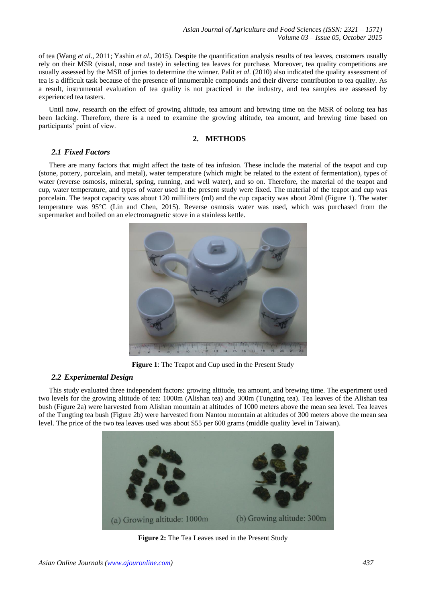of tea (Wang *et al*., 2011; Yashin *et al*., 2015). Despite the quantification analysis results of tea leaves, customers usually rely on their MSR (visual, nose and taste) in selecting tea leaves for purchase. Moreover, tea quality competitions are usually assessed by the MSR of juries to determine the winner. Palit *et al*. (2010) also indicated the quality assessment of tea is a difficult task because of the presence of innumerable compounds and their diverse contribution to tea quality. As a result, instrumental evaluation of tea quality is not practiced in the industry, and tea samples are assessed by experienced tea tasters.

Until now, research on the effect of growing altitude, tea amount and brewing time on the MSR of oolong tea has been lacking. Therefore, there is a need to examine the growing altitude, tea amount, and brewing time based on participants' point of view.

# **2. METHODS**

# *2.1 Fixed Factors*

There are many factors that might affect the taste of tea infusion. These include the material of the teapot and cup (stone, pottery, porcelain, and metal), water temperature (which might be related to the extent of fermentation), types of water (reverse osmosis, mineral, spring, running, and well water), and so on. Therefore, the material of the teapot and cup, water temperature, and types of water used in the present study were fixed. The material of the teapot and cup was porcelain. The teapot capacity was about 120 milliliters (ml) and the cup capacity was about 20ml (Figure 1). The water temperature was 95C (Lin and Chen, 2015). Reverse osmosis water was used, which was purchased from the supermarket and boiled on an electromagnetic stove in a stainless kettle.



**Figure 1**: The Teapot and Cup used in the Present Study

# *2.2 Experimental Design*

This study evaluated three independent factors: growing altitude, tea amount, and brewing time. The experiment used two levels for the growing altitude of tea: 1000m (Alishan tea) and 300m (Tungting tea). Tea leaves of the Alishan tea bush (Figure 2a) were harvested from Alishan mountain at altitudes of 1000 meters above the mean sea level. Tea leaves of the Tungting tea bush (Figure 2b) were harvested from Nantou mountain at altitudes of 300 meters above the mean sea level. The price of the two tea leaves used was about \$55 per 600 grams (middle quality level in Taiwan).



**Figure 2:** The Tea Leaves used in the Present Study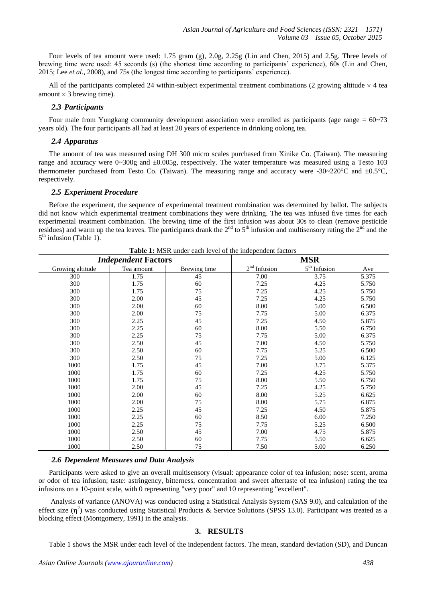Four levels of tea amount were used: 1.75 gram (g), 2.0g, 2.25g (Lin and Chen, 2015) and 2.5g. Three levels of brewing time were used: 45 seconds (s) (the shortest time according to participants' experience), 60s (Lin and Chen, 2015; Lee *et al*., 2008), and 75s (the longest time according to participants' experience).

All of the participants completed 24 within-subject experimental treatment combinations (2 growing altitude  $\times$  4 tea amount  $\times$  3 brewing time).

## *2.3 Participants*

Four male from Yungkang community development association were enrolled as participants (age range = 60~73 years old). The four participants all had at least 20 years of experience in drinking oolong tea.

# *2.4 Apparatus*

The amount of tea was measured using DH 300 micro scales purchased from Xinike Co. (Taiwan). The measuring range and accuracy were 0~300g and ±0.005g, respectively. The water temperature was measured using a Testo 103 thermometer purchased from Testo Co. (Taiwan). The measuring range and accuracy were -30~220 °C and  $\pm 0.5$ °C, respectively.

## *2.5 Experiment Procedure*

Before the experiment, the sequence of experimental treatment combination was determined by ballot. The subjects did not know which experimental treatment combinations they were drinking. The tea was infused five times for each experimental treatment combination. The brewing time of the first infusion was about 30s to clean (remove pesticide residues) and warm up the tea leaves. The participants drank the  $2<sup>nd</sup>$  to  $5<sup>th</sup>$  infusion and multisensory rating the  $2<sup>nd</sup>$  and the 5<sup>th</sup> infusion (Table 1).

|                  | <b>Independent Factors</b> |              | <b>MSR</b>     |                |       |  |
|------------------|----------------------------|--------------|----------------|----------------|-------|--|
| Growing altitude | Tea amount                 | Brewing time | $2nd$ Infusion | $5th$ Infusion | Ave   |  |
| 300              | 1.75                       | 45           | 7.00           | 3.75           | 5.375 |  |
| 300              | 1.75                       | 60           | 7.25           | 4.25           | 5.750 |  |
| 300              | 1.75                       | 75           | 7.25           | 4.25           | 5.750 |  |
| 300              | 2.00                       | 45           | 7.25           | 4.25           | 5.750 |  |
| 300              | 2.00                       | 60           | 8.00           | 5.00           | 6.500 |  |
| 300              | 2.00                       | 75           | 7.75           | 5.00           | 6.375 |  |
| 300              | 2.25                       | 45           | 7.25           | 4.50           | 5.875 |  |
| 300              | 2.25                       | 60           | 8.00           | 5.50           | 6.750 |  |
| 300              | 2.25                       | 75           | 7.75           | 5.00           | 6.375 |  |
| 300              | 2.50                       | 45           | 7.00           | 4.50           | 5.750 |  |
| 300              | 2.50                       | 60           | 7.75           | 5.25           | 6.500 |  |
| 300              | 2.50                       | 75           | 7.25           | 5.00           | 6.125 |  |
| 1000             | 1.75                       | 45           | 7.00           | 3.75           | 5.375 |  |
| 1000             | 1.75                       | 60           | 7.25           | 4.25           | 5.750 |  |
| 1000             | 1.75                       | 75           | 8.00           | 5.50           | 6.750 |  |
| 1000             | 2.00                       | 45           | 7.25           | 4.25           | 5.750 |  |
| 1000             | 2.00                       | 60           | 8.00           | 5.25           | 6.625 |  |
| 1000             | 2.00                       | 75           | 8.00           | 5.75           | 6.875 |  |
| 1000             | 2.25                       | 45           | 7.25           | 4.50           | 5.875 |  |
| 1000             | 2.25                       | 60           | 8.50           | 6.00           | 7.250 |  |
| 1000             | 2.25                       | 75           | 7.75           | 5.25           | 6.500 |  |
| 1000             | 2.50                       | 45           | 7.00           | 4.75           | 5.875 |  |
| 1000             | 2.50                       | 60           | 7.75           | 5.50           | 6.625 |  |
| 1000             | 2.50                       | 75           | 7.50           | 5.00           | 6.250 |  |

**Table 1:** MSR under each level of the independent factors

#### *2.6 Dependent Measures and Data Analysis*

Participants were asked to give an overall multisensory (visual: appearance color of tea infusion; nose: scent, aroma or odor of tea infusion; taste: astringency, bitterness, concentration and sweet aftertaste of tea infusion) rating the tea infusions on a 10-point scale, with 0 representing "very poor" and 10 representing "excellent".

Analysis of variance (ANOVA) was conducted using a Statistical Analysis System (SAS 9.0), and calculation of the effect size  $(\eta^2)$  was conducted using Statistical Products & Service Solutions (SPSS 13.0). Participant was treated as a blocking effect (Montgomery, 1991) in the analysis.

# **3. RESULTS**

Table 1 shows the MSR under each level of the independent factors. The mean, standard deviation (SD), and Duncan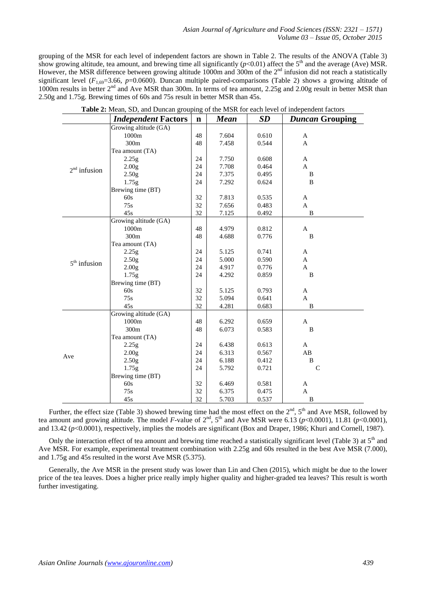grouping of the MSR for each level of independent factors are shown in Table 2. The results of the ANOVA (Table 3) show growing altitude, tea amount, and brewing time all significantly  $(p<0.01)$  affect the 5<sup>th</sup> and the average (Ave) MSR. However, the MSR difference between growing altitude 1000m and 300m of the 2<sup>nd</sup> infusion did not reach a statistically significant level  $(F_{1,69}=3.66, p=0.0600)$ . Duncan multiple paired-comparisons (Table 2) shows a growing altitude of 1000m results in better 2<sup>nd</sup> and Ave MSR than 300m. In terms of tea amount, 2.25g and 2.00g result in better MSR than 2.50g and 1.75g. Brewing times of 60s and 75s result in better MSR than 45s.

|                | <b>Independent Factors</b> | $\mathbf n$ | <b>Mean</b> | SD    | <b>Duncan Grouping</b> |
|----------------|----------------------------|-------------|-------------|-------|------------------------|
|                | Growing altitude (GA)      |             |             |       |                        |
| $2nd$ infusion | 1000m                      | 48          | 7.604       | 0.610 | $\mathbf A$            |
|                | 300m                       | 48          | 7.458       | 0.544 | A                      |
|                | Tea amount (TA)            |             |             |       |                        |
|                | 2.25g                      | 24          | 7.750       | 0.608 | $\mathbf{A}$           |
|                | 2.00g                      | 24          | 7.708       | 0.464 | A                      |
|                | 2.50g                      | 24          | 7.375       | 0.495 | B                      |
|                | 1.75g                      | 24          | 7.292       | 0.624 | B                      |
|                | Brewing time (BT)          |             |             |       |                        |
|                | 60s                        | 32          | 7.813       | 0.535 | $\mathbf{A}$           |
|                | 75s                        | 32          | 7.656       | 0.483 | $\mathbf{A}$           |
|                | 45s                        | 32          | 7.125       | 0.492 | $\, {\bf B}$           |
|                | Growing altitude (GA)      |             |             |       |                        |
|                | 1000m                      | 48          | 4.979       | 0.812 | $\mathbf{A}$           |
|                | 300m                       | 48          | 4.688       | 0.776 | B                      |
|                | Tea amount (TA)            |             |             |       |                        |
|                | 2.25g                      | 24          | 5.125       | 0.741 | A                      |
| $5th$ infusion | 2.50g                      | 24          | 5.000       | 0.590 | $\mathbf{A}$           |
|                | 2.00g                      | 24          | 4.917       | 0.776 | $\mathbf{A}$           |
|                | 1.75g                      | 24          | 4.292       | 0.859 | $\, {\bf B}$           |
|                | Brewing time (BT)          |             |             |       |                        |
|                | 60s                        | 32          | 5.125       | 0.793 | $\mathbf A$            |
|                | 75s                        | 32          | 5.094       | 0.641 | $\mathbf{A}$           |
|                | 45s                        | 32          | 4.281       | 0.683 | $\, {\bf B}$           |
| Ave            | Growing altitude (GA)      |             |             |       |                        |
|                | 1000m                      | 48          | 6.292       | 0.659 | $\mathbf{A}$           |
|                | 300m                       | 48          | 6.073       | 0.583 | B                      |
|                | Tea amount (TA)            |             |             |       |                        |
|                | 2.25g                      | 24          | 6.438       | 0.613 | $\mathbf{A}$           |
|                | 2.00 <sub>g</sub>          | 24          | 6.313       | 0.567 | AB                     |
|                | 2.50 <sub>g</sub>          | 24          | 6.188       | 0.412 | B                      |
|                | 1.75g                      | 24          | 5.792       | 0.721 | $\mathbf C$            |
|                | Brewing time (BT)          |             |             |       |                        |
|                | 60s                        | 32          | 6.469       | 0.581 | A                      |
|                | 75s                        | 32          | 6.375       | 0.475 | $\mathbf{A}$           |
|                | 45s                        | 32          | 5.703       | 0.537 | B                      |

| Table 2: Mean, SD, and Duncan grouping of the MSR for each level of independent factors |  |  |  |
|-----------------------------------------------------------------------------------------|--|--|--|
|                                                                                         |  |  |  |

Further, the effect size (Table 3) showed brewing time had the most effect on the  $2<sup>nd</sup>$ ,  $5<sup>th</sup>$  and Ave MSR, followed by tea amount and growing altitude. The model *F*-value of  $2<sup>nd</sup>$ ,  $5<sup>th</sup>$  and Ave MSR were 6.13 ( $p<0.0001$ ), 11.81 ( $p<0.0001$ ), and 13.42 (*p*<0.0001), respectively, implies the models are significant (Box and Draper, 1986; Khuri and Cornell, 1987).

Only the interaction effect of tea amount and brewing time reached a statistically significant level (Table 3) at  $5<sup>th</sup>$  and Ave MSR. For example, experimental treatment combination with 2.25g and 60s resulted in the best Ave MSR (7.000), and 1.75g and 45s resulted in the worst Ave MSR (5.375).

Generally, the Ave MSR in the present study was lower than Lin and Chen (2015), which might be due to the lower price of the tea leaves. Does a higher price really imply higher quality and higher-graded tea leaves? This result is worth further investigating.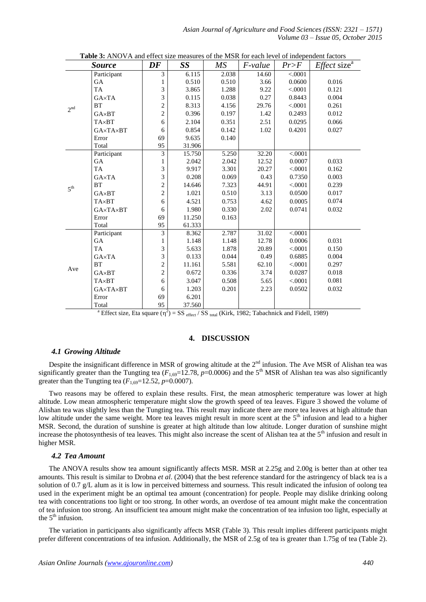|                 | <b>Table 3.</b> Thro VIX and criter size incastives of the more for each level of independent factors<br><b>Source</b> | DF             | SS     | МS    | <i>F-value</i> | Pr>F    | <i>Effect</i> size <sup><math>a</math></sup> |
|-----------------|------------------------------------------------------------------------------------------------------------------------|----------------|--------|-------|----------------|---------|----------------------------------------------|
| 2 <sup>nd</sup> | Participant                                                                                                            | 3              | 6.115  | 2.038 | 14.60          | < .0001 |                                              |
|                 | <b>GA</b>                                                                                                              | 1              | 0.510  | 0.510 | 3.66           | 0.0600  | 0.016                                        |
|                 | <b>TA</b>                                                                                                              | 3              | 3.865  | 1.288 | 9.22           | < .0001 | 0.121                                        |
|                 | GAxTA                                                                                                                  | 3              | 0.115  | 0.038 | 0.27           | 0.8443  | 0.004                                        |
|                 | <b>BT</b>                                                                                                              | $\overline{c}$ | 8.313  | 4.156 | 29.76          | < .0001 | 0.261                                        |
|                 | $GA \times BT$                                                                                                         | $\overline{c}$ | 0.396  | 0.197 | 1.42           | 0.2493  | 0.012                                        |
|                 | <b>TA</b> <sub>×</sub> BT                                                                                              | 6              | 2.104  | 0.351 | 2.51           | 0.0295  | 0.066                                        |
|                 | <b>GA×TA×BT</b>                                                                                                        | 6              | 0.854  | 0.142 | 1.02           | 0.4201  | 0.027                                        |
|                 | Error                                                                                                                  | 69             | 9.635  | 0.140 |                |         |                                              |
|                 | Total                                                                                                                  | 95             | 31.906 |       |                |         |                                              |
|                 | Participant                                                                                                            | 3              | 15.750 | 5.250 | 32.20          | < .0001 |                                              |
|                 | <b>GA</b>                                                                                                              | 1              | 2.042  | 2.042 | 12.52          | 0.0007  | 0.033                                        |
|                 | TA                                                                                                                     | 3              | 9.917  | 3.301 | 20.27          | < .0001 | 0.162                                        |
|                 | GAxTA                                                                                                                  | 3              | 0.208  | 0.069 | 0.43           | 0.7350  | 0.003                                        |
| 5 <sup>th</sup> | <b>BT</b>                                                                                                              | $\overline{2}$ | 14.646 | 7.323 | 44.91          | < .0001 | 0.239                                        |
|                 | $GA \times BT$                                                                                                         | $\overline{c}$ | 1.021  | 0.510 | 3.13           | 0.0500  | 0.017                                        |
|                 | <b>TA</b> <sub>×</sub> BT                                                                                              | 6              | 4.521  | 0.753 | 4.62           | 0.0005  | 0.074                                        |
|                 | <b>GA×TA×BT</b>                                                                                                        | 6              | 1.980  | 0.330 | 2.02           | 0.0741  | 0.032                                        |
|                 | Error                                                                                                                  | 69             | 11.250 | 0.163 |                |         |                                              |
|                 | Total                                                                                                                  | 95             | 61.333 |       |                |         |                                              |
| Ave             | Participant                                                                                                            | 3              | 8.362  | 2.787 | 31.02          | < .0001 |                                              |
|                 | GA                                                                                                                     | 1              | 1.148  | 1.148 | 12.78          | 0.0006  | 0.031                                        |
|                 | <b>TA</b>                                                                                                              | 3              | 5.633  | 1.878 | 20.89          | < .0001 | 0.150                                        |
|                 | GA×TA                                                                                                                  | 3              | 0.133  | 0.044 | 0.49           | 0.6885  | 0.004                                        |
|                 | <b>BT</b>                                                                                                              | $\overline{c}$ | 11.161 | 5.581 | 62.10          | < .0001 | 0.297                                        |
|                 | GA×BT                                                                                                                  | $\overline{2}$ | 0.672  | 0.336 | 3.74           | 0.0287  | 0.018                                        |
|                 | <b>TA</b> <sub>×</sub> <b>BT</b>                                                                                       | 6              | 3.047  | 0.508 | 5.65           | < .0001 | 0.081                                        |
|                 | <b>GA×TA×BT</b>                                                                                                        | 6              | 1.203  | 0.201 | 2.23           | 0.0502  | 0.032                                        |
|                 | Error                                                                                                                  | 69             | 6.201  |       |                |         |                                              |
|                 | Total                                                                                                                  | 95             | 37.560 |       |                |         |                                              |

|  |  | <b>Table 3:</b> ANOVA and effect size measures of the MSR for each level of independent factors |  |  |
|--|--|-------------------------------------------------------------------------------------------------|--|--|
|--|--|-------------------------------------------------------------------------------------------------|--|--|

<sup>a</sup> Effect size, Eta square ( $\eta^2$ ) = SS <sub>effect</sub> / SS <sub>total</sub> (Kirk, 1982; Tabachnick and Fidell, 1989)

# **4. DISCUSSION**

# *4.1 Growing Altitude*

Despite the insignificant difference in MSR of growing altitude at the  $2<sup>nd</sup>$  infusion. The Ave MSR of Alishan tea was significantly greater than the Tungting tea  $(F_{1,69}=12.78, p=0.0006)$  and the 5<sup>th</sup> MSR of Alishan tea was also significantly greater than the Tungting tea  $(F_{1,69}=12.52, p=0.0007)$ .

Two reasons may be offered to explain these results. First, the mean atmospheric temperature was lower at high altitude. Low mean atmospheric temperature might slow the growth speed of tea leaves. Figure 3 showed the volume of Alishan tea was slightly less than the Tungting tea. This result may indicate there are more tea leaves at high altitude than low altitude under the same weight. More tea leaves might result in more scent at the 5<sup>th</sup> infusion and lead to a higher MSR. Second, the duration of sunshine is greater at high altitude than low altitude. Longer duration of sunshine might increase the photosynthesis of tea leaves. This might also increase the scent of Alishan tea at the  $5<sup>th</sup>$  infusion and result in higher MSR.

#### *4.2 Tea Amount*

The ANOVA results show tea amount significantly affects MSR. MSR at 2.25g and 2.00g is better than at other tea amounts. This result is similar to Drobna *et al*. (2004) that the best reference standard for the astringency of black tea is a solution of 0.7 g/L alum as it is low in perceived bitterness and sourness. This result indicated the infusion of oolong tea used in the experiment might be an optimal tea amount (concentration) for people. People may dislike drinking oolong tea with concentrations too light or too strong. In other words, an overdose of tea amount might make the concentration of tea infusion too strong. An insufficient tea amount might make the concentration of tea infusion too light, especially at the  $5<sup>th</sup>$  infusion.

The variation in participants also significantly affects MSR (Table 3). This result implies different participants might prefer different concentrations of tea infusion. Additionally, the MSR of 2.5g of tea is greater than 1.75g of tea (Table 2).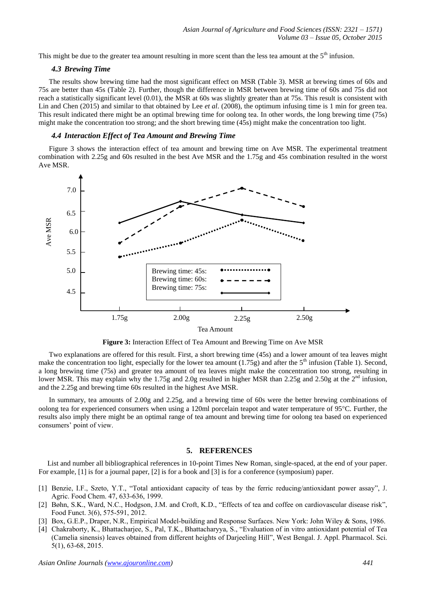This might be due to the greater tea amount resulting in more scent than the less tea amount at the  $5<sup>th</sup>$  infusion.

## *4.3 Brewing Time*

The results show brewing time had the most significant effect on MSR (Table 3). MSR at brewing times of 60s and 75s are better than 45s (Table 2). Further, though the difference in MSR between brewing time of 60s and 75s did not reach a statistically significant level (0.01), the MSR at 60s was slightly greater than at 75s. This result is consistent with Lin and Chen (2015) and similar to that obtained by Lee *et al*. (2008), the optimum infusing time is 1 min for green tea. This result indicated there might be an optimal brewing time for oolong tea. In other words, the long brewing time (75s) might make the concentration too strong; and the short brewing time (45s) might make the concentration too light.

#### *4.4 Interaction Effect of Tea Amount and Brewing Time*

Figure 3 shows the interaction effect of tea amount and brewing time on Ave MSR. The experimental treatment combination with 2.25g and 60s resulted in the best Ave MSR and the 1.75g and 45s combination resulted in the worst Ave MSR.





Two explanations are offered for this result. First, a short brewing time (45s) and a lower amount of tea leaves might make the concentration too light, especially for the lower tea amount  $(1.75g)$  and after the 5<sup>th</sup> infusion (Table 1). Second, a long brewing time (75s) and greater tea amount of tea leaves might make the concentration too strong, resulting in lower MSR. This may explain why the 1.75g and 2.0g resulted in higher MSR than 2.25g and 2.50g at the 2<sup>nd</sup> infusion, and the 2.25g and brewing time 60s resulted in the highest Ave MSR.

In summary, tea amounts of 2.00g and 2.25g, and a brewing time of 60s were the better brewing combinations of oolong tea for experienced consumers when using a 120ml porcelain teapot and water temperature of 95C. Further, the results also imply there might be an optimal range of tea amount and brewing time for oolong tea based on experienced consumers' point of view.

## **5. REFERENCES**

List and number all bibliographical references in 10-point Times New Roman, single-spaced, at the end of your paper. For example, [1] is for a journal paper, [2] is for a book and [3] is for a conference (symposium) paper.

- [1] Benzie, I.F., Szeto, Y.T., "Total antioxidant capacity of teas by the ferric reducing/antioxidant power assay", J. Agric. Food Chem. 47, 633-636, 1999.
- [2] Bøhn, S.K., Ward, N.C., Hodgson, J.M. and Croft, K.D., "Effects of tea and coffee on cardiovascular disease risk", Food Funct. 3(6), 575-591, 2012.
- [3] Box, G.E.P., Draper, N.R., Empirical Model-building and Response Surfaces. New York: John Wiley & Sons, 1986.
- [4] Chakraborty, K., Bhattacharjee, S., Pal, T.K., Bhattacharyya, S., "Evaluation of in vitro antioxidant potential of Tea (Camelia sinensis) leaves obtained from different heights of Darjeeling Hill", West Bengal. J. Appl. Pharmacol. Sci. 5(1), 63-68, 2015.